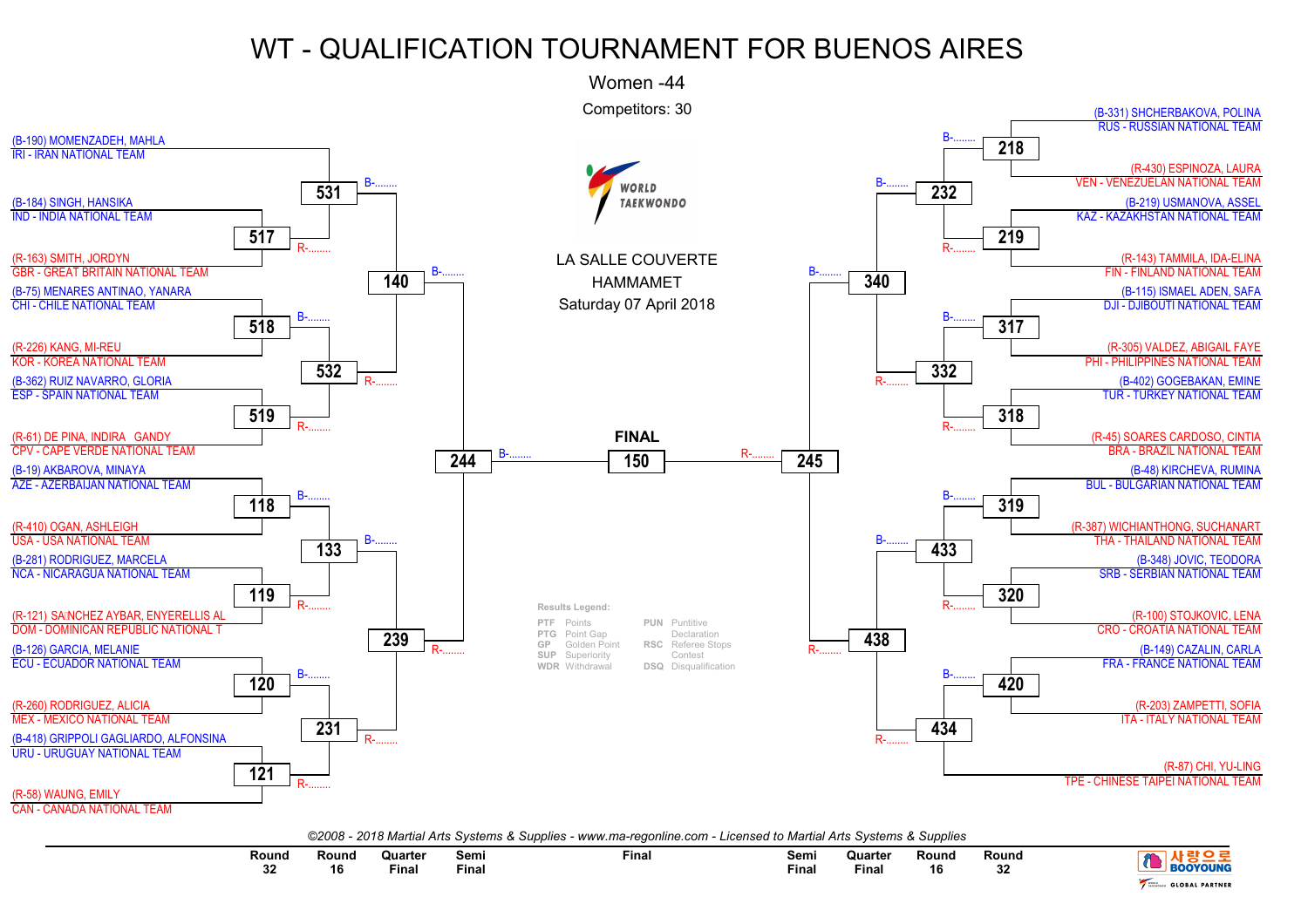

| ©2008 - 2018 Martial Arts Systems & Supplies - www.ma-regonline.com - Licensed to Martial Arts Systems & Supplies |  |
|-------------------------------------------------------------------------------------------------------------------|--|
|-------------------------------------------------------------------------------------------------------------------|--|

| Round<br>$\sim$ | Round<br>16 | <b>Quarter</b><br>the contract of the contract of the contract of the contract of the contract of<br>Fina | <b>Semi</b><br>Fina. | Final | Semi<br>Final | Quarter<br>the contract of the contract of the contract of the contract of the contract of<br>Fina. | Round<br>16 | Round<br>ົ<br>ےت | אוווומע<br>вок        |
|-----------------|-------------|-----------------------------------------------------------------------------------------------------------|----------------------|-------|---------------|-----------------------------------------------------------------------------------------------------|-------------|------------------|-----------------------|
| ◡▵              |             |                                                                                                           |                      |       |               |                                                                                                     |             |                  | <b>GLOBAL PARTNER</b> |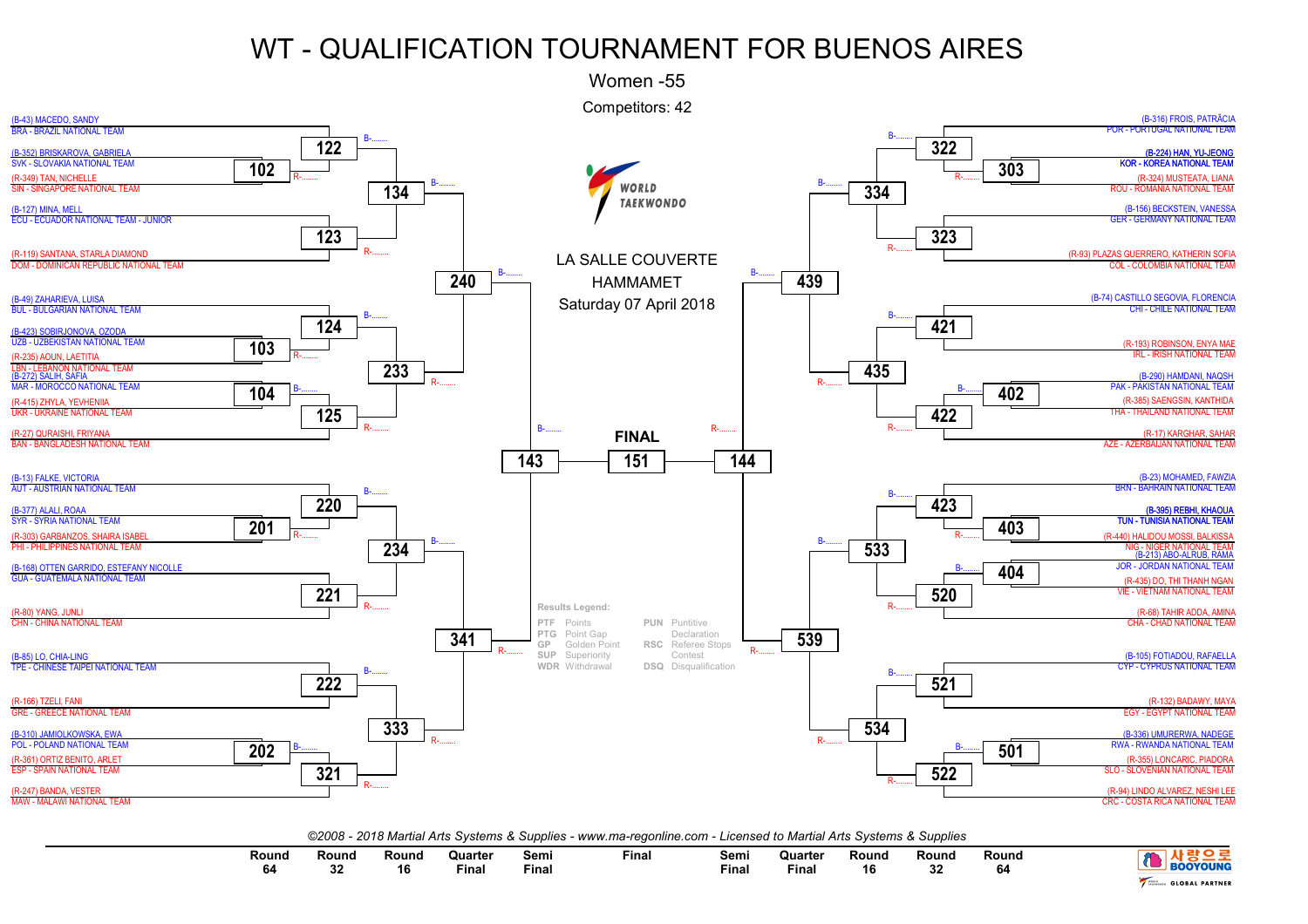

| Round<br>o.<br>. . | Round<br>$\sim$<br>ັບພ | रound | Quarter<br>Final | Semi<br><b>Fina</b> | Final | Semi<br>Final | Quarter<br>Fina | Round<br><br>ט ו | Round<br>$\sim$<br>◡ | Round |                       |
|--------------------|------------------------|-------|------------------|---------------------|-------|---------------|-----------------|------------------|----------------------|-------|-----------------------|
|                    |                        |       |                  |                     |       |               |                 |                  |                      |       | <b>GLOBAL PARTNER</b> |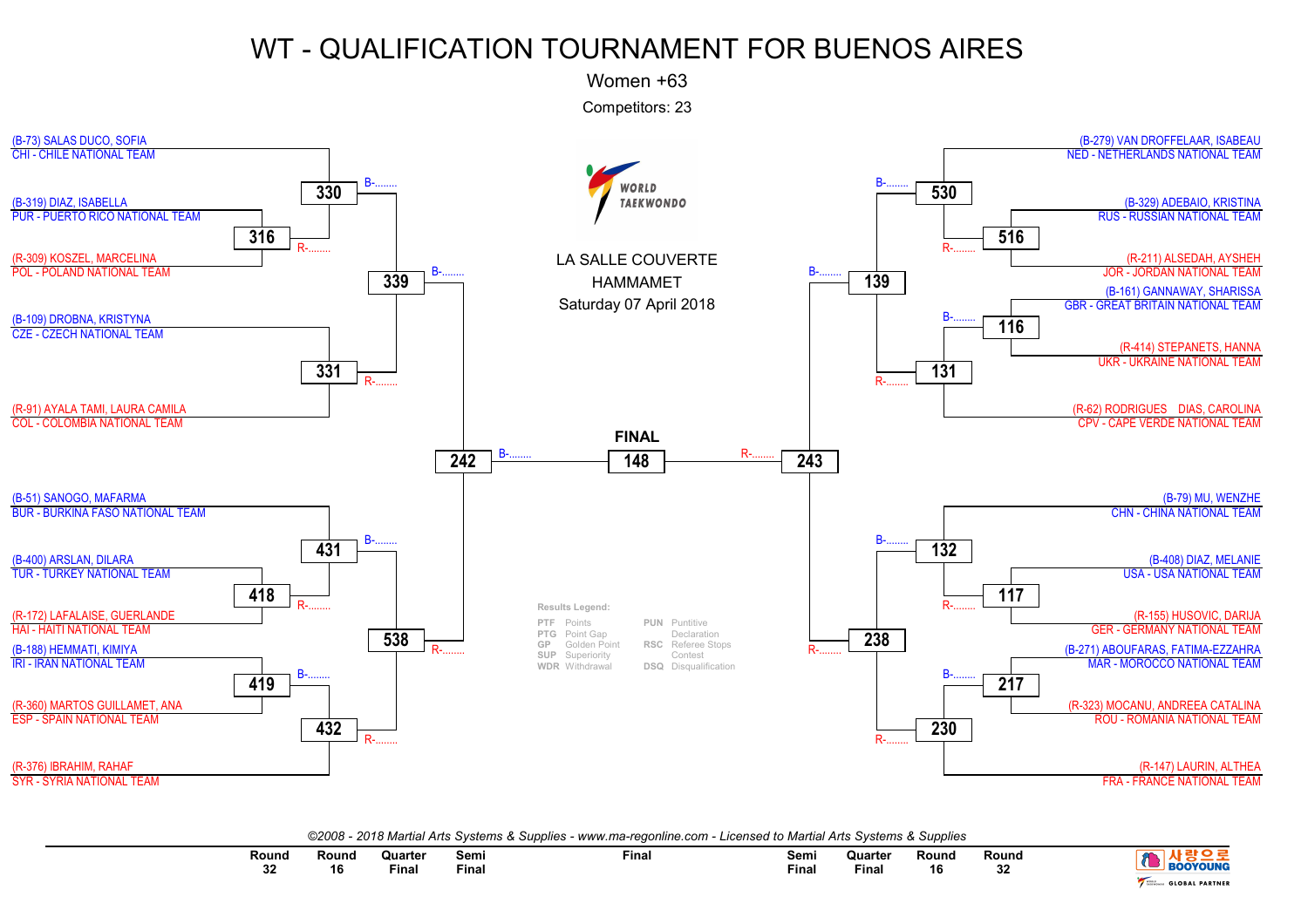Women +63

Competitors: 23



| ©2008 - 2018 Martial Arts Systems & Supplies - www.ma-regonline.com - Licensed to Martial Arts Systems & Supplies |  |  |  |  |  |
|-------------------------------------------------------------------------------------------------------------------|--|--|--|--|--|
|-------------------------------------------------------------------------------------------------------------------|--|--|--|--|--|

| Round<br>$\sim$ $\sim$ $\sim$<br>n n<br>v | Round<br>16 | Quarter<br>the contract of the contract of the contract of<br>Final | Semi<br>$ -$<br>Final | Final | Semi<br>Final<br>and the state of the state of the | Quarter<br>the contract of the contract of the contract of<br>Final | Round<br>16 | Round<br>$\sim$<br>∠د | -----<br>.<br>L PARTNER<br><b>GLOBAI</b> |
|-------------------------------------------|-------------|---------------------------------------------------------------------|-----------------------|-------|----------------------------------------------------|---------------------------------------------------------------------|-------------|-----------------------|------------------------------------------|
|                                           |             |                                                                     |                       |       |                                                    |                                                                     |             |                       |                                          |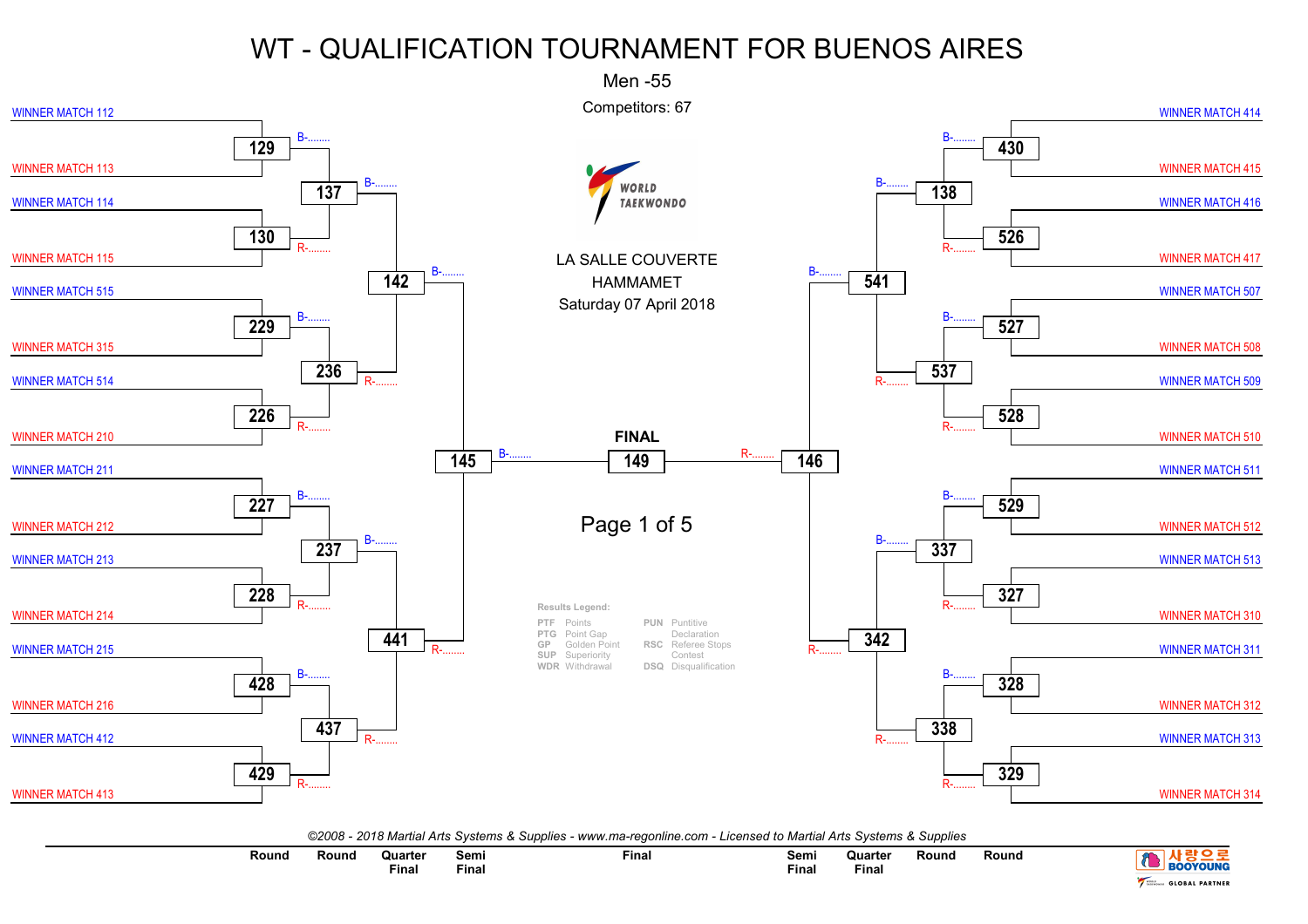

| <b>BOOYOUNG</b>                       | Round | Round | Quarter<br>Final | Semi<br>Final | Final | Semi<br>Final | Quarter<br>Final | Round | Round |
|---------------------------------------|-------|-------|------------------|---------------|-------|---------------|------------------|-------|-------|
| <b>GLOBAL PARTNER</b><br><b>PO</b> MO |       |       |                  |               |       |               |                  |       |       |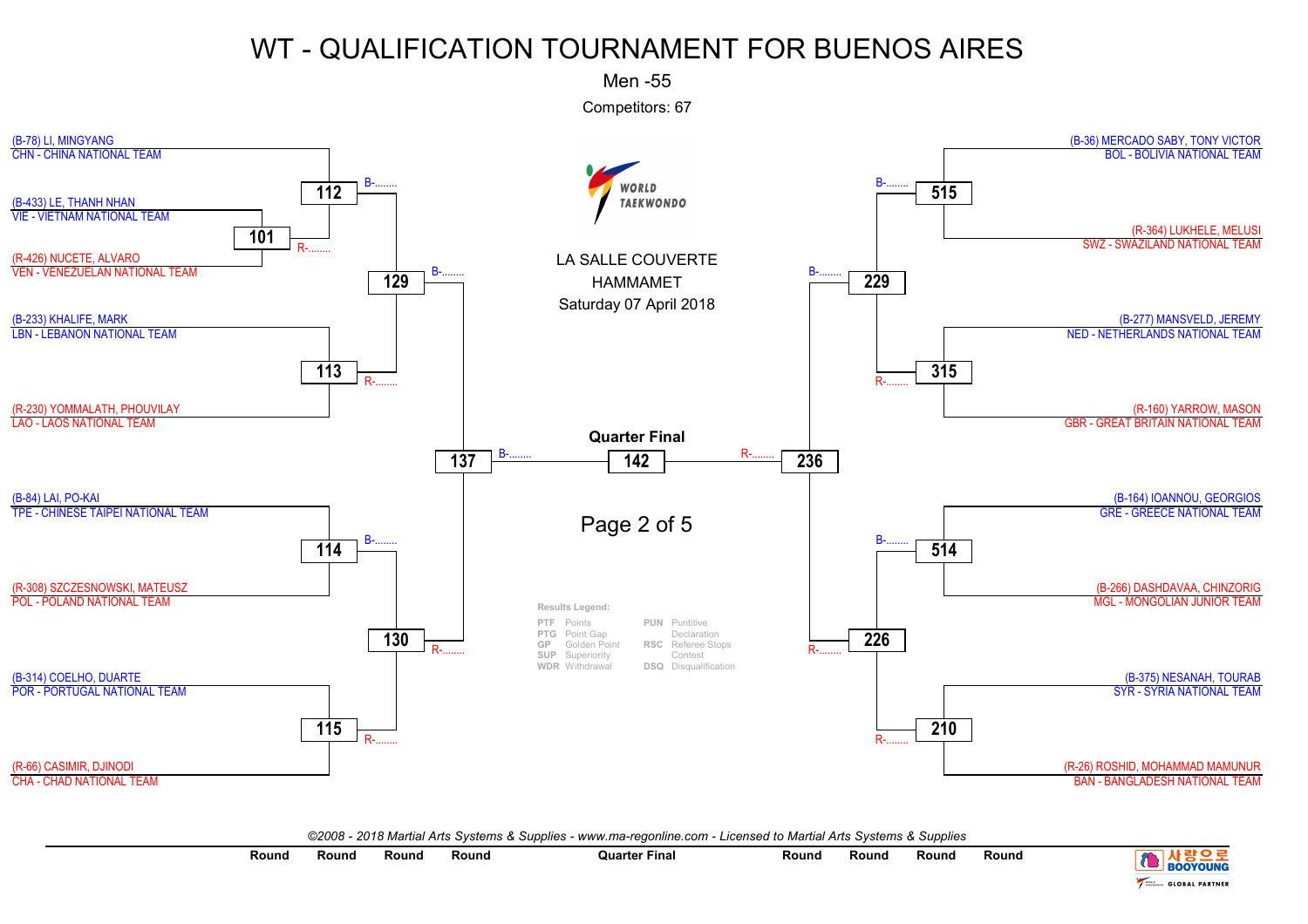Men -55

Competitors: 67



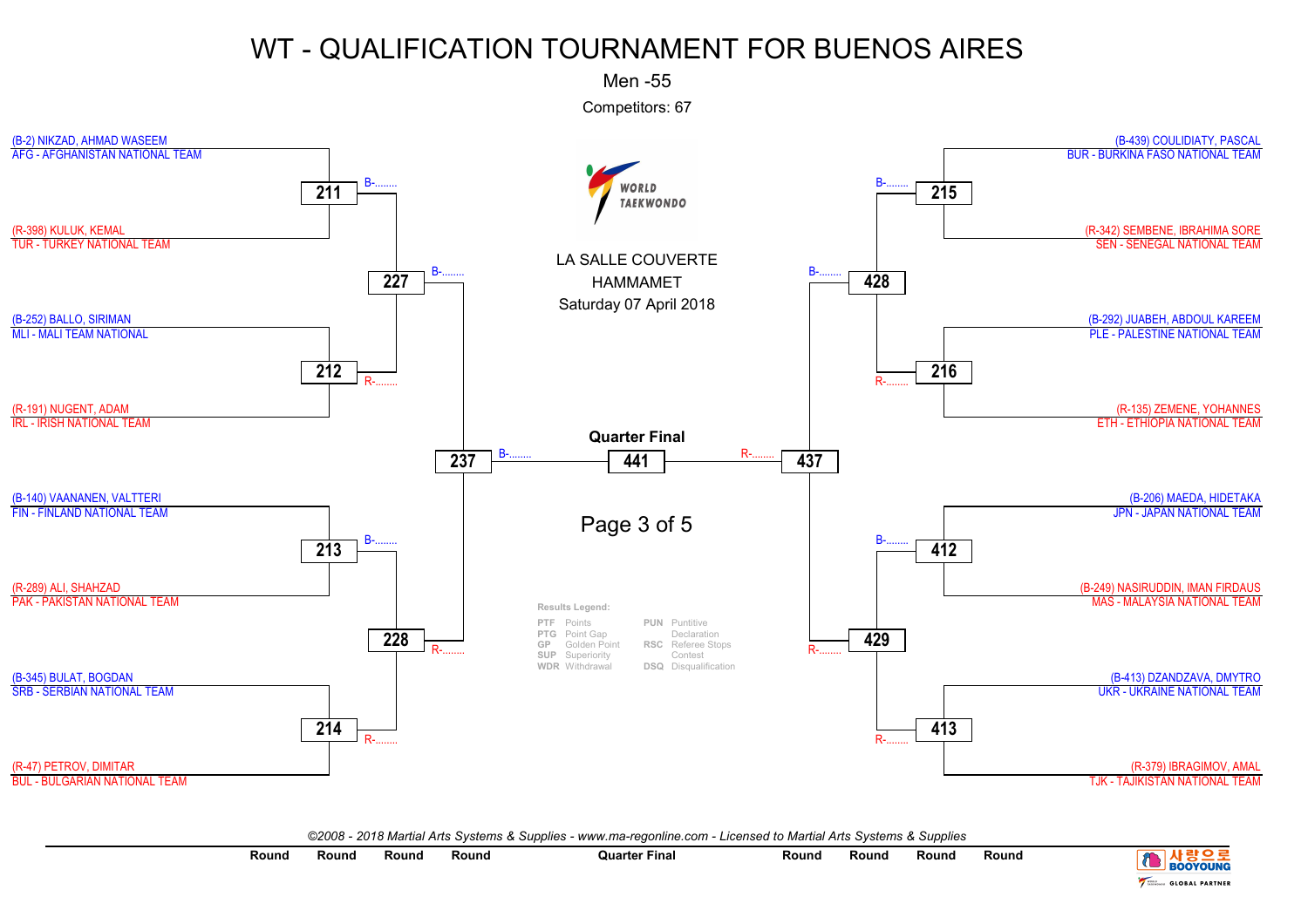Men -55

Competitors: 67



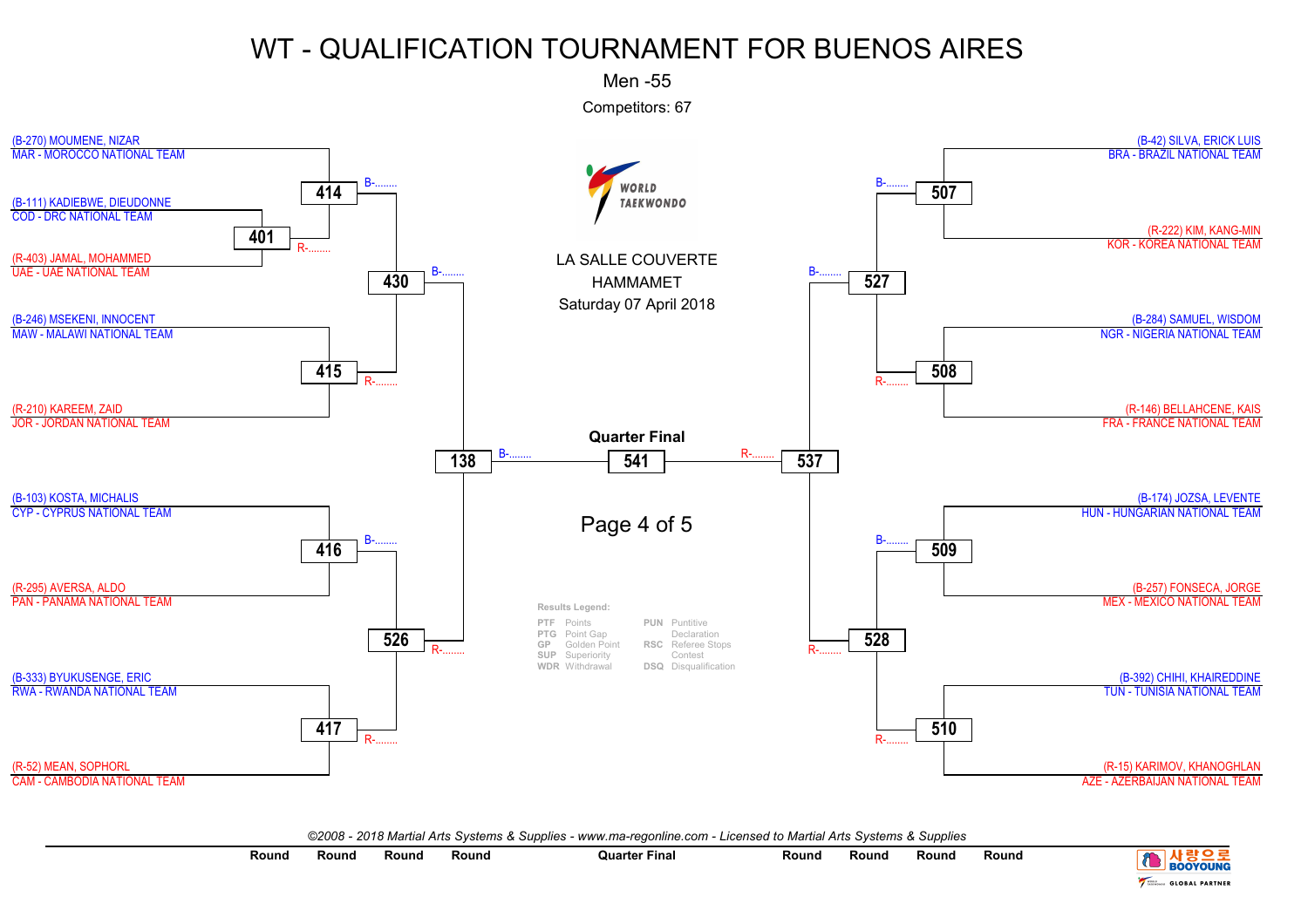Men -55

Competitors: 67



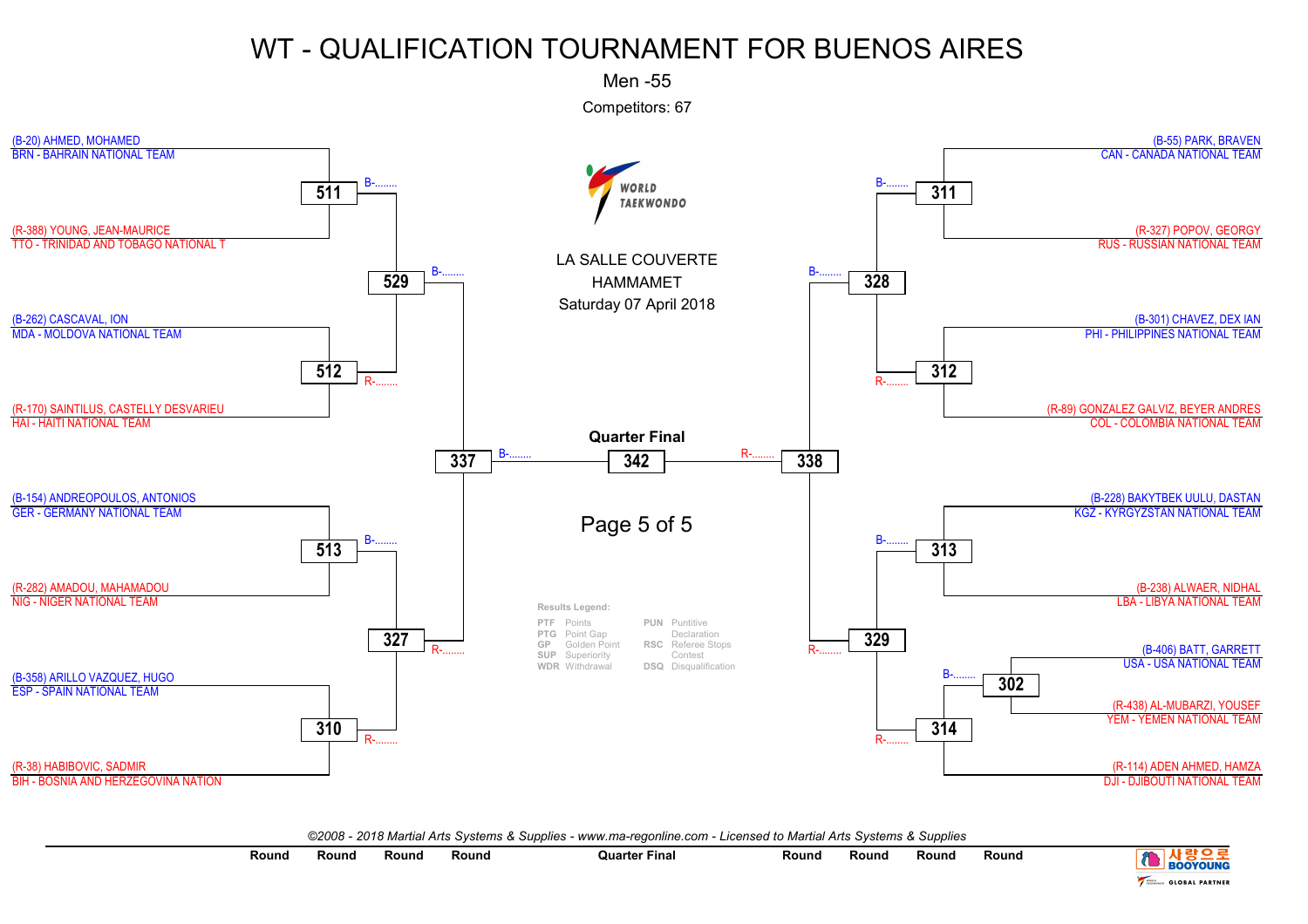Men -55

Competitors: 67



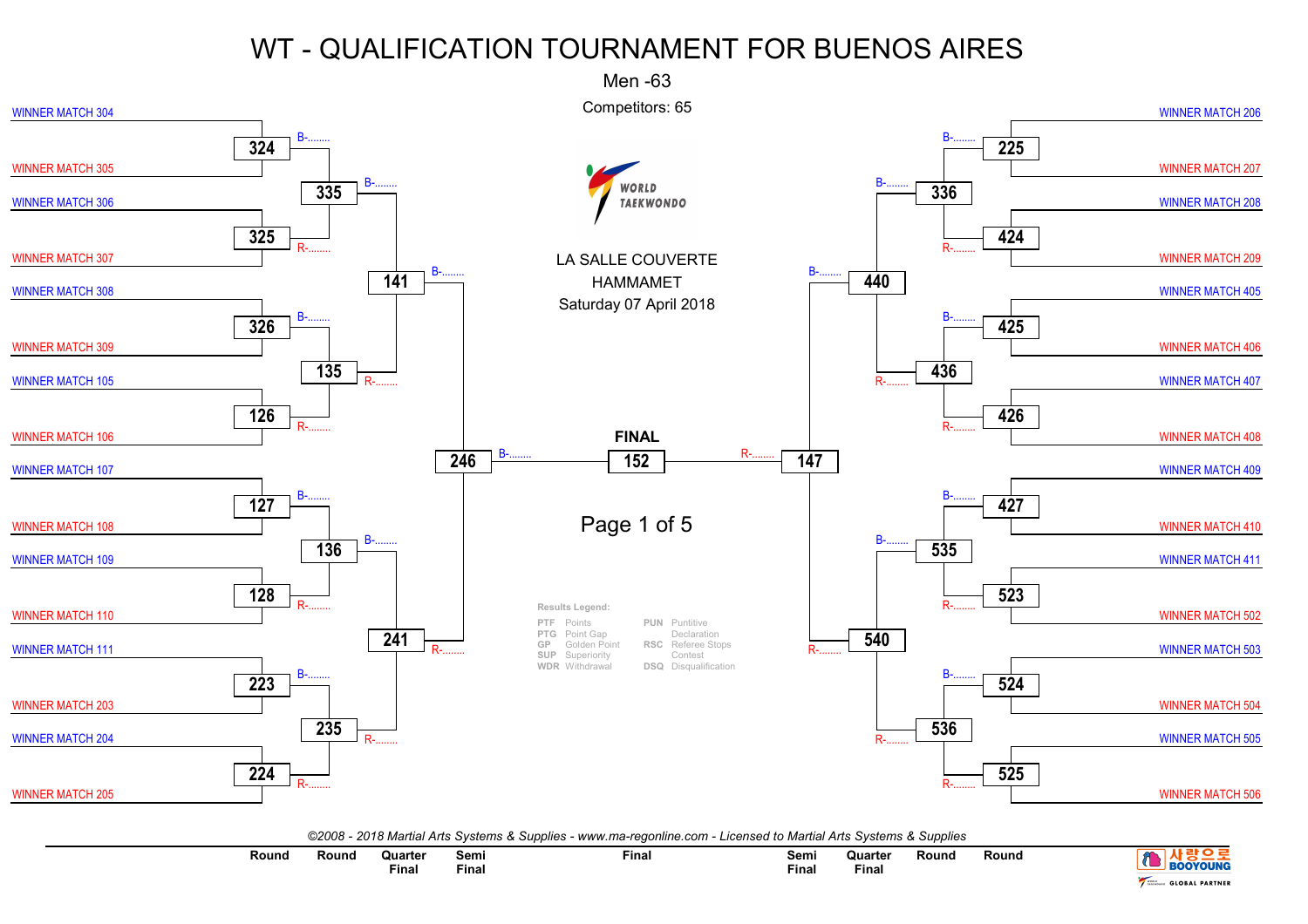

| Round | Round | ิ Quarte⊧<br><b>Final</b> | Semi<br>Final | Final | Semi<br>$ -$<br>Final | Quarter<br>Final | Rounc | Round |                            |
|-------|-------|---------------------------|---------------|-------|-----------------------|------------------|-------|-------|----------------------------|
|       |       |                           |               |       |                       |                  |       |       | <b>L PARTNEL</b><br>$\sim$ |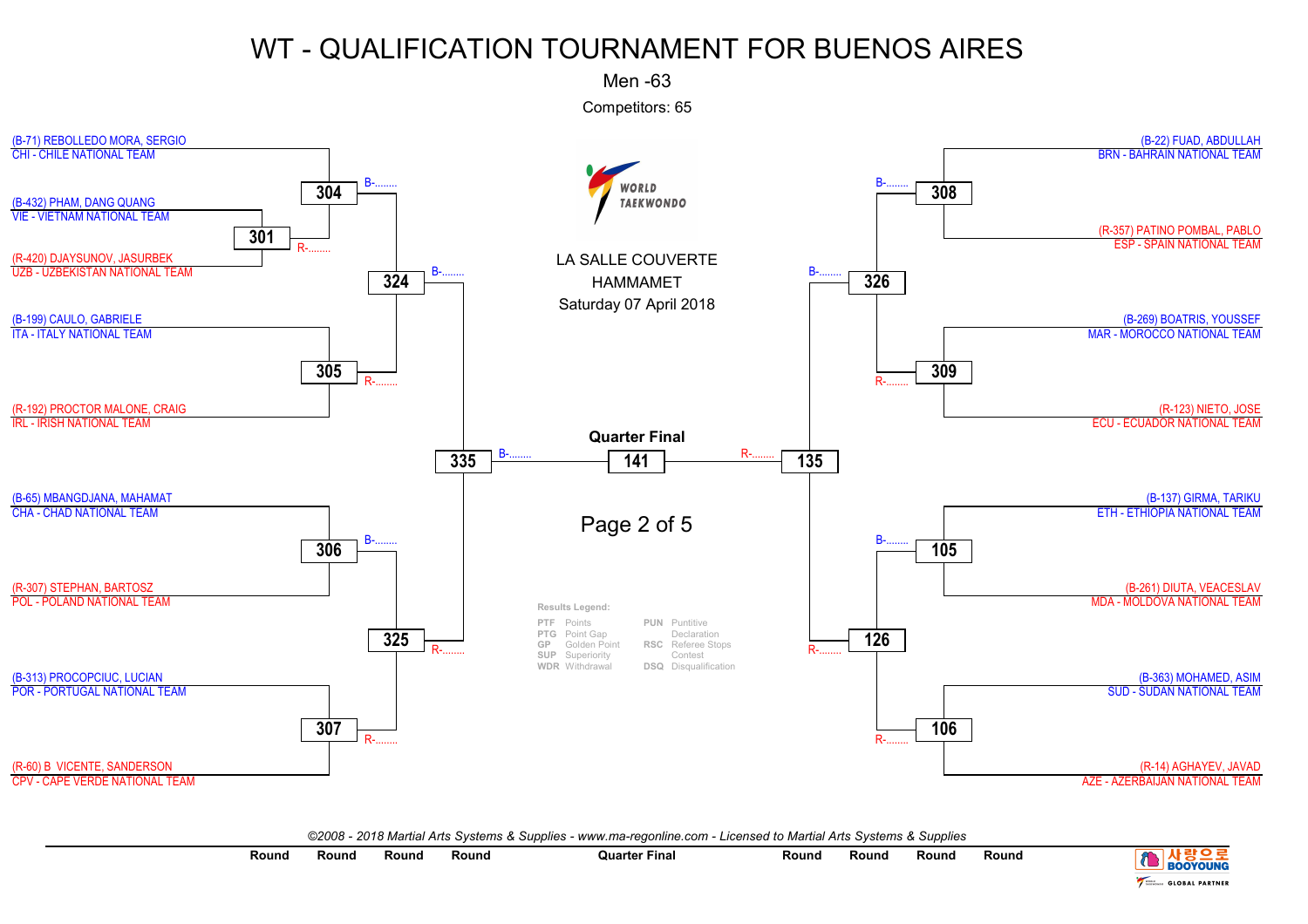Men -63

Competitors: 65



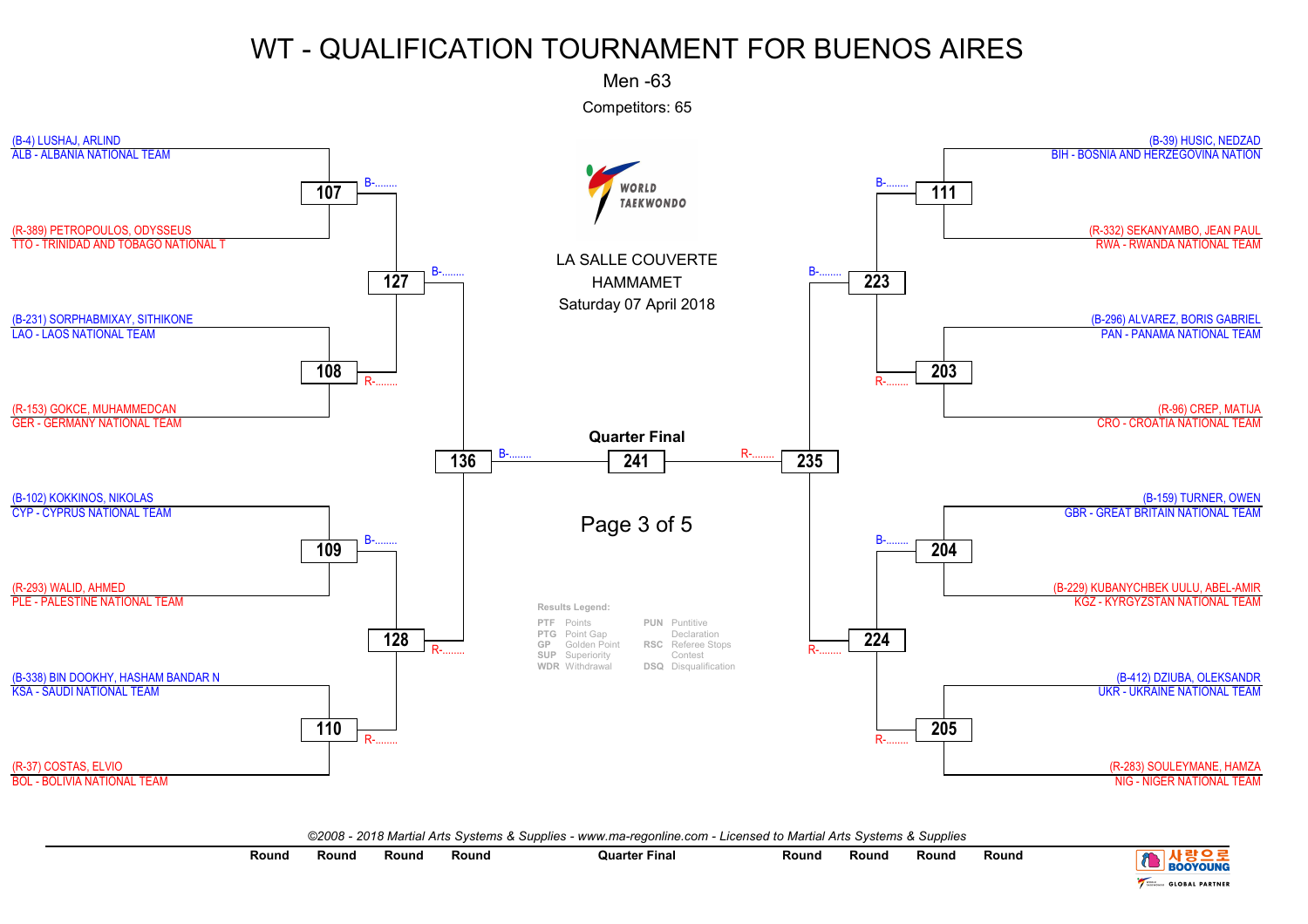Men -63

Competitors: 65



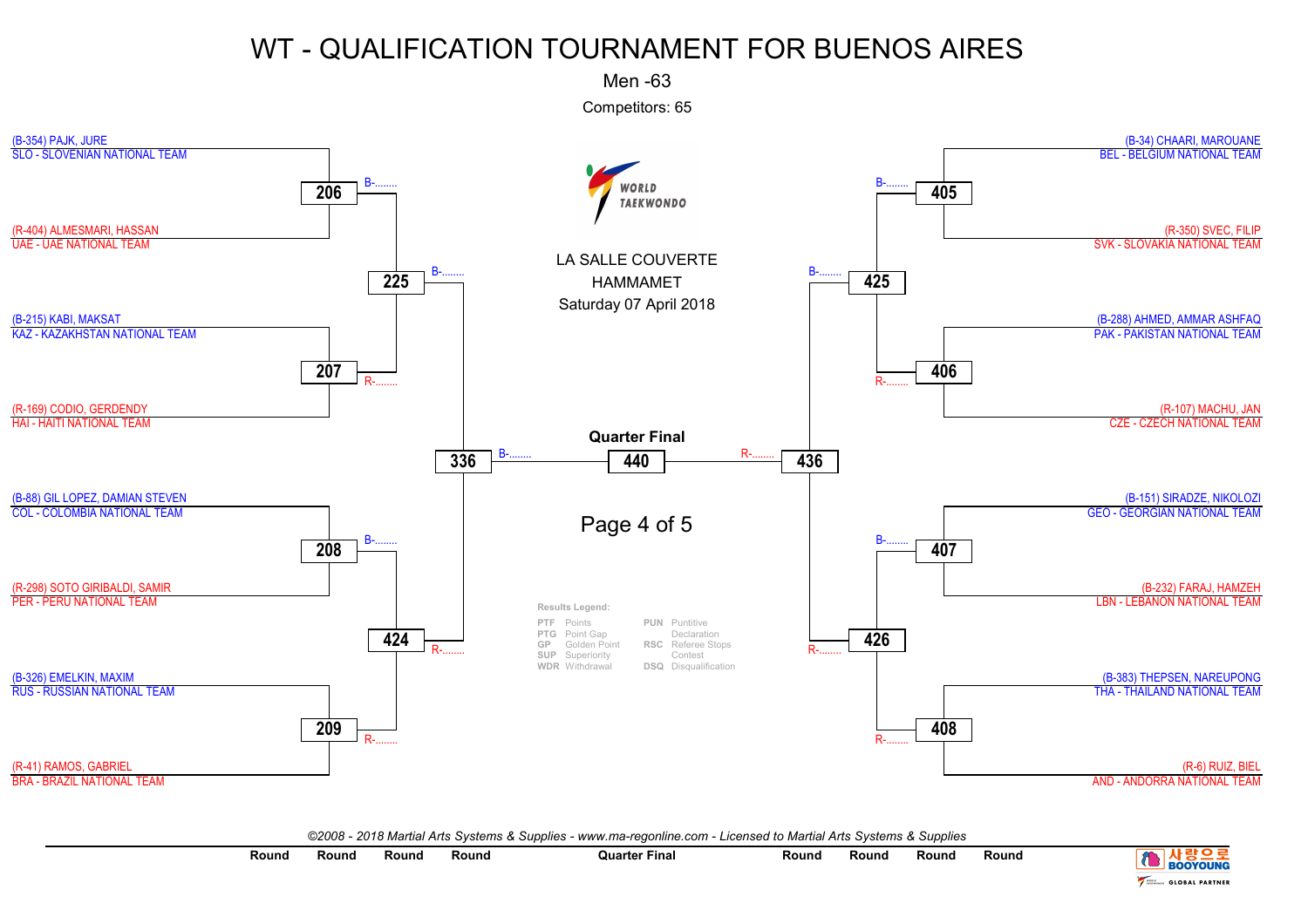Men -63

Competitors: 65